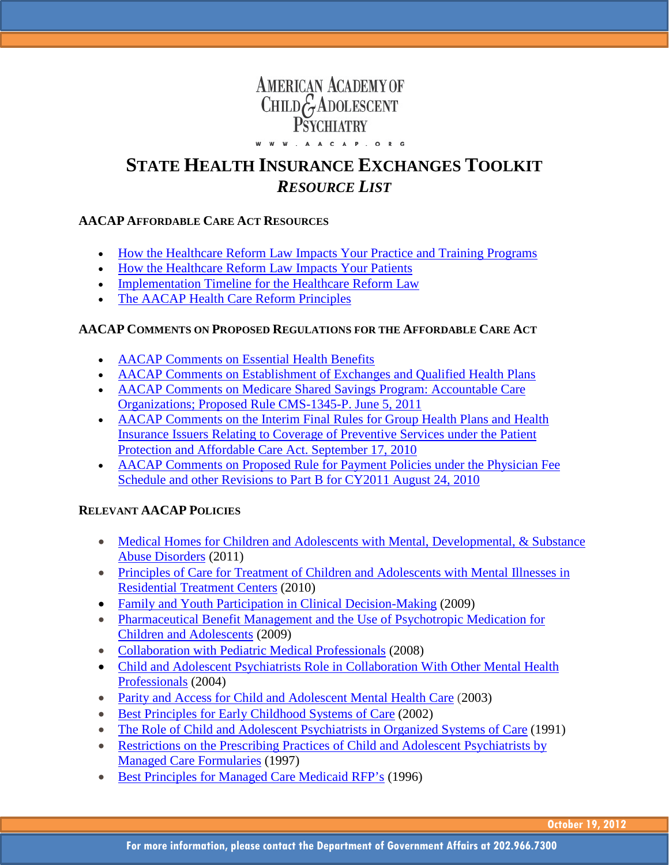# **AMERICAN ACADEMY OF** CHILD GADOLESCENT

#### W W W , A A C A P , O R G

## **STATE HEALTH INSURANCE EXCHANGES TOOLKIT** *RESOURCE LIST*

#### **AACAP AFFORDABLE CARE ACT RESOURCES**

- [How the Healthcare Reform Law Impacts Your Practice and Training Programs](http://www.aacap.org/galleries/default-file/How_ACA_Impacts_Practice_and_Training_Programs.pdf)
- [How the Healthcare Reform Law Impacts Your Patients](http://www.aacap.org/galleries/default-file/How_ACA_Impacts_Your_Patients.pdf)
- [Implementation Timeline for the Healthcare Reform Law](http://www.aacap.org/galleries/default-file/ACA_Implementation_Timeline.pdf)
- [The AACAP Health Care Reform Principles](http://www.aacap.org/galleries/legislative_action_alerts/HCR%20principles%20pamphlet.pdf)

#### **AACAP COMMENTS ON PROPOSED REGULATIONS FOR THE AFFORDABLE CARE ACT**

- [AACAP Comments on Essential Health Benefits](http://www.aacap.org/galleries/govtaffairs/EHB_Bulletin_January_2012.pdf)
- [AACAP Comments on Establishment of Exchanges and Qualified Health Plans](http://www.aacap.org/galleries/govtaffairs/State%20Insurance%20Exchanges%20Regulations%20FINAL.pdf)
- [AACAP Comments on Medicare Shared Savings Program: Accountable Care](http://www.aacap.org/galleries/govtaffairs/ACO%20Regulation%20Comments%20FINAL.pdf)  [Organizations; Proposed Rule CMS-1345-P. June 5, 2011](http://www.aacap.org/galleries/govtaffairs/ACO%20Regulation%20Comments%20FINAL.pdf)
- AACAP Comments on the Interim Final Rules for Group Health Plans and Health [Insurance Issuers Relating to Coverage of Preventive Services under the Patient](http://www.aacap.org/galleries/default-file/Prevention_regulations_comments.pdf)  [Protection and Affordable Care Act. September 17, 2010](http://www.aacap.org/galleries/default-file/Prevention_regulations_comments.pdf)
- AACAP Comments on Proposed Rule for Payment Policies under the Physician Fee [Schedule and other Revisions to Part B for CY2011 August 24, 2010](http://www.aacap.org/galleries/default-file/Comments_PFS_CY2011_Proposed_Rule.pdf)

### **RELEVANT AACAP POLICIES**

- Medical Homes for Children and Adolescents with Mental, Developmental, & Substance [Abuse Disorders](http://www.aacap.org/cs/root/policy_statements/medical_homes_for_children_and_adolescents_with_mental_developmental_substance_abuse_disorders) (2011)
- Principles of Care for Treatment of Children and Adolescents with Mental Illnesses in [Residential Treatment Centers](http://www.aacap.org/galleries/default-file/Principles_of_Care_in_RTC_FINAL.pdf) (2010)
- [Family and Youth Participation in Clinical Decision-Making](http://www.aacap.org/cs/root/policy_statements/family_and_youth_participation_in_clinical_decisionmaking) (2009)
- [Pharmaceutical Benefit Management and the Use of Psychotropic Medication for](http://www.aacap.org/cs/root/policy_statements/pharmaceutical_benefit_management_and_the_use_of_psychotropic_medication_for_children_and_adolescents)  [Children and Adolescents](http://www.aacap.org/cs/root/policy_statements/pharmaceutical_benefit_management_and_the_use_of_psychotropic_medication_for_children_and_adolescents) (2009)
- [Collaboration with Pediatric Medical Professionals](http://www.aacap.org/cs/root/policy_statements/collaboration_with_pediatric_medical_professionals) (2008)
- [Child and Adolescent Psychiatrists Role in Collaboration With Other Mental Health](http://www.aacap.org/cs/root/policy_statements/child_and_adolescent_psychiatrists_role_in_collaboration_with_other_mental_health_professionals)  [Professionals](http://www.aacap.org/cs/root/policy_statements/child_and_adolescent_psychiatrists_role_in_collaboration_with_other_mental_health_professionals) (2004)
- Parity [and Access for Child and Adolescent Mental Health Care](http://www.aacap.org/cs/root/policy_statements/parity_and_access_for_child_and_adolescent_mental_health_care) (2003)
- [Best Principles for Early Childhood Systems of Care](http://www.aacap.org/galleries/PracticeInformation/Best_Principles_for_Early_Childhood_SOC.pdf) (2002)
- [The Role of Child and Adolescent Psychiatrists in Organized Systems of Care](http://www.aacap.org/cs/root/policy_statements/the_role_of_child_and_adolescent_psychiatrist_in_organized_systems_of_care) (1991)
- Restrictions on the Prescribing Practices of Child and Adolescent Psychiatrists by [Managed Care Formularies](http://www.aacap.org/cs/root/policy_statements/restrictions_on_the_prescribing_practices_of_child_and_adolescent_psychiatrists_by_managed_care_formularies) (1997)
- [Best Principles for Managed Care Medicaid RFP's](http://www.aacap.org/cs/root/member_information/practice_information/best_principles_for_managed_care_medicaid_rfps) (1996)